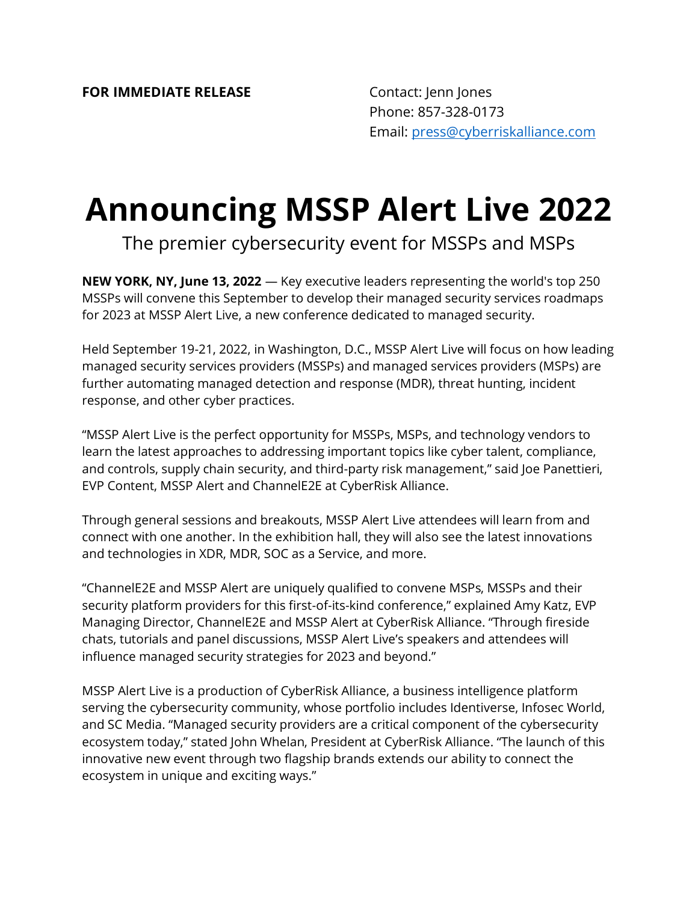## **Announcing MSSP Alert Live 2022**

The premier cybersecurity event for MSSPs and MSPs

**NEW YORK, NY, June 13, 2022** — Key executive leaders representing the world's top 250 MSSPs will convene this September to develop their managed security services roadmaps for 2023 at MSSP Alert Live, a new conference dedicated to managed security.

Held September 19-21, 2022, in Washington, D.C., MSSP Alert Live will focus on how leading managed security services providers (MSSPs) and managed services providers (MSPs) are further automating managed detection and response (MDR), threat hunting, incident response, and other cyber practices.

"MSSP Alert Live is the perfect opportunity for MSSPs, MSPs, and technology vendors to learn the latest approaches to addressing important topics like cyber talent, compliance, and controls, supply chain security, and third-party risk management," said Joe Panettieri, EVP Content, MSSP Alert and ChannelE2E at CyberRisk Alliance.

Through general sessions and breakouts, MSSP Alert Live attendees will learn from and connect with one another. In the exhibition hall, they will also see the latest innovations and technologies in XDR, MDR, SOC as a Service, and more.

"ChannelE2E and MSSP Alert are uniquely qualified to convene MSPs, MSSPs and their security platform providers for this first-of-its-kind conference," explained Amy Katz, EVP Managing Director, ChannelE2E and MSSP Alert at CyberRisk Alliance. "Through fireside chats, tutorials and panel discussions, MSSP Alert Live's speakers and attendees will influence managed security strategies for 2023 and beyond."

MSSP Alert Live is a production of CyberRisk Alliance, a business intelligence platform serving the cybersecurity community, whose portfolio includes Identiverse, Infosec World, and SC Media. "Managed security providers are a critical component of the cybersecurity ecosystem today," stated John Whelan, President at CyberRisk Alliance. "The launch of this innovative new event through two flagship brands extends our ability to connect the ecosystem in unique and exciting ways."